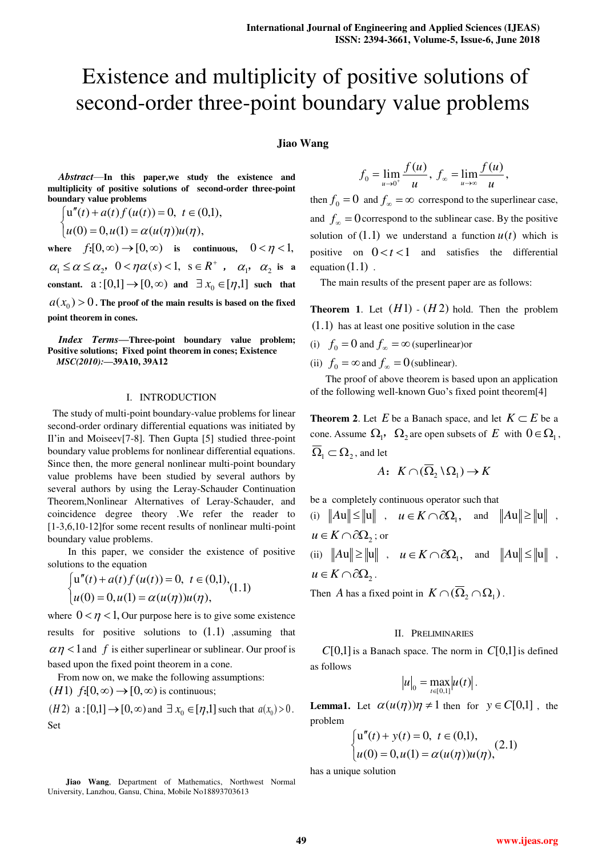# Existence and multiplicity of positive solutions of second-order three-point boundary value problems

## **Jiao Wang**

*Abstract*—**In this paper,we study the existence and multiplicity of positive solutions of second-order three-point boundary value problems** 

$$
\begin{cases} u''(t) + a(t) f(u(t)) = 0, \ t \in (0,1), \\ u(0) = 0, u(1) = \alpha(u(\eta))u(\eta), \end{cases}
$$

where  $f:[0,\infty) \to [0,\infty)$  is continuous,  $0 < \eta < 1$ ,  $\alpha_1 \leq \alpha \leq \alpha_2$ ,  $0 < \eta \alpha(s) < 1$ ,  $s \in R^+$ ,  $\alpha_1$ ,  $\alpha_2$  is a **constant.**  $a:[0,1] \rightarrow [0,\infty)$  and  $\exists x_0 \in [\eta,1]$  such that  $a(x_{0}) > 0$  . The proof of the main results is based on the fixed **point theorem in cones.** 

*Index Terms***—Three-point boundary value problem; Positive solutions; Fixed point theorem in cones; Existence**  *MSC(2010):***—39A10, 39A12** 

### I. INTRODUCTION

 The study of multi-point boundary-value problems for linear second-order ordinary differential equations was initiated by Il'in and Moiseev[7-8]. Then Gupta [5] studied three-point boundary value problems for nonlinear differential equations. Since then, the more general nonlinear multi-point boundary value problems have been studied by several authors by several authors by using the Leray-Schauder Continuation Theorem,Nonlinear Alternatives of Leray-Schauder, and coincidence degree theory .We refer the reader to [1-3,6,10-12]for some recent results of nonlinear multi-point boundary value problems.

In this paper, we consider the existence of positive solutions to the equation

$$
\begin{cases} u''(t) + a(t) f(u(t)) = 0, \ t \in (0,1), \\ u(0) = 0, u(1) = \alpha(u(\eta))u(\eta), \end{cases} (1.1)
$$

where  $0 < \eta < 1$ , Our purpose here is to give some existence results for positive solutions to  $(1.1)$  ,assuming that  $\alpha \eta$  < 1 and *f* is either superlinear or sublinear. Our proof is based upon the fixed point theorem in a cone.

From now on, we make the following assumptions:  $(H1)$   $f:[0,\infty) \rightarrow [0,\infty)$  is continuous;

 $(H2)$  a :  $[0,1] \rightarrow [0,\infty)$  and  $\exists x_0 \in [\eta,1]$  such that  $a(x_0) > 0$ . Set

**Jiao Wang**, Department of Mathematics, Northwest Normal University, Lanzhou, Gansu, China, Mobile No18893703613

$$
f_0 = \lim_{u \to 0^+} \frac{f(u)}{u}, \ f_{\infty} = \lim_{u \to \infty} \frac{f(u)}{u},
$$

then  $f_0 = 0$  and  $f_\infty = \infty$  correspond to the superlinear case, and  $f_{\infty} = 0$  correspond to the sublinear case. By the positive solution of  $(1.1)$  we understand a function  $u(t)$  which is positive on  $0 < t < 1$  and satisfies the differential equation  $(1.1)$ .

The main results of the present paper are as follows:

**Theorem 1.** Let  $(H1)$  -  $(H2)$  hold. Then the problem  $(1.1)$  has at least one positive solution in the case

(i)  $f_0 = 0$  and  $f_\infty = \infty$  (superlinear)or

(ii)  $f_0 = \infty$  and  $f_\infty = 0$  (sublinear).

 The proof of above theorem is based upon an application of the following well-known Guo's fixed point theorem[4]

**Theorem 2.** Let *E* be a Banach space, and let  $K \subset E$  be a cone. Assume  $\Omega_1$ ,  $\Omega_2$  are open subsets of E with  $0 \in \Omega_1$ ,  $\overline{\Omega}_1 \subset \Omega_2$ , and let

$$
A: K \cap (\overline{\Omega}_2 \setminus \Omega_1) \to K
$$

be a completely continuous operator such that

(i) 
$$
||Au|| \le ||u||
$$
,  $u \in K \cap \partial \Omega_1$ , and  $||Au|| \ge ||u||$ ,  
\n $u \in K \cap \partial \Omega_2$ ; or  
\n(ii)  $||Au|| \ge ||u||$ ,  $u \in K \cap \partial \Omega_1$ , and  $||Au|| \le ||u||$ ,  
\n $u \in K \cap \partial \Omega_2$ .

Then *A* has a fixed point in  $K \cap (\overline{\Omega}_2 \cap \Omega_1)$ .

#### II. PRELIMINARIES

 $C[0,1]$  is a Banach space. The norm in  $C[0,1]$  is defined as follows

$$
|u|_{0} = \max_{t \in [0,1]} |u(t)|.
$$

**Lemma1.** Let  $\alpha(u(\eta))\eta \neq 1$  then for  $y \in C[0,1]$ , the problem

$$
\begin{cases} u''(t) + y(t) = 0, \ t \in (0,1), \\ u(0) = 0, u(1) = \alpha(u(\eta))u(\eta), \end{cases}
$$
 (2.1)

has a unique solution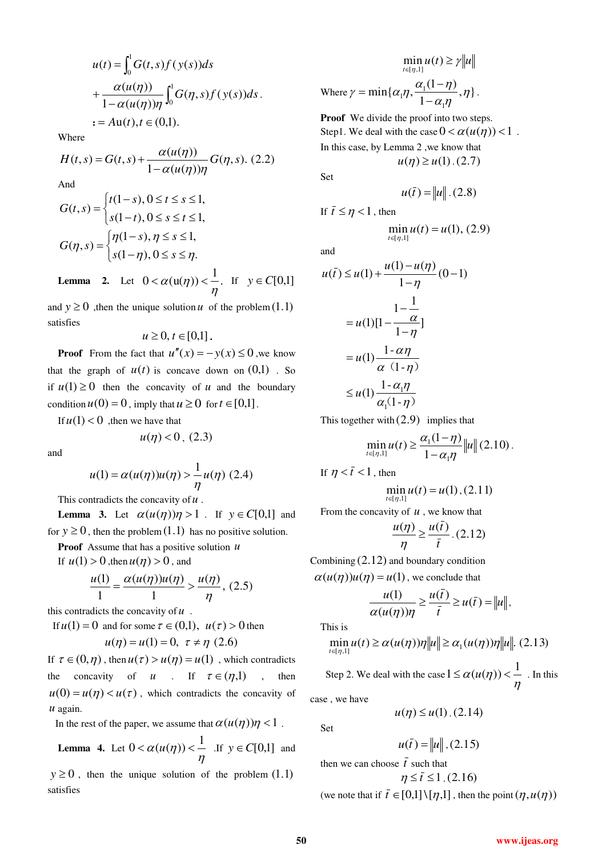$$
u(t) = \int_0^1 G(t,s)f(y(s))ds
$$
  
+ 
$$
\frac{\alpha(u(\eta))}{1 - \alpha(u(\eta))\eta} \int_0^1 G(\eta,s)f(y(s))ds.
$$
  
:= 
$$
Au(t), t \in (0,1).
$$

Where

$$
H(t,s) = G(t,s) + \frac{\alpha(u(\eta))}{1 - \alpha(u(\eta))\eta} G(\eta, s). \tag{2.2}
$$

And

$$
G(t,s) = \begin{cases} t(1-s), 0 \le t \le s \le 1, \\ s(1-t), 0 \le s \le t \le 1, \\ G(\eta, s) = \begin{cases} \eta(1-s), \eta \le s \le 1, \\ s(1-\eta), 0 \le s \le \eta. \end{cases} \end{cases}
$$

**Lemma 2.** Let  $0 < \alpha(u(\eta)) < \frac{1}{\eta}$ .  $\eta$  $<\alpha$ (**u**( $\eta$ )) <  $\frac{1}{\tau}$ . If  $y \in C[0,1]$ 

and  $y \ge 0$ , then the unique solution *u* of the problem  $(1.1)$ satisfies

$$
u\geq 0, t\in[0,1].
$$

**Proof** From the fact that  $u''(x) = -y(x) \le 0$ , we know that the graph of  $u(t)$  is concave down on  $(0,1)$ . So if  $u(1) \ge 0$  then the concavity of *u* and the boundary condition  $u(0) = 0$ , imply that  $u \ge 0$  for  $t \in [0,1]$ .

If  $u(1) < 0$ , then we have that

$$
u(\eta) < 0, (2.3)
$$

and

$$
u(1) = \alpha(u(\eta))u(\eta) > \frac{1}{\eta}u(\eta)
$$
 (2.4)

This contradicts the concavity of *u* .

**Lemma 3.** Let  $\alpha(u(\eta))\eta > 1$ . If  $y \in C[0,1]$  and for  $y \ge 0$ , then the problem  $(1.1)$  has no positive solution.

**Proof** Assume that has a positive solution *u*

If  $u(1) > 0$ , then  $u(\eta) > 0$ , and

$$
\frac{u(1)}{1} = \frac{\alpha(u(\eta))u(\eta)}{1} > \frac{u(\eta)}{\eta}, (2.5)
$$

this contradicts the concavity of *u* .

If  $u(1) = 0$  and for some  $\tau \in (0,1)$ ,  $u(\tau) > 0$  then  $(u)$  (1) 0 =  $(u)$  (0.0)

$$
u(\eta) = u(1) = 0, \ \tau \neq \eta \ (2.6)
$$

If  $\tau \in (0, \eta)$ , then  $u(\tau) > u(\eta) = u(1)$ , which contradicts the concavity of *u* . If  $\tau \in (\eta, 1)$ , then  $u(0) = u(\eta) < u(\tau)$ , which contradicts the concavity of *u* again.

In the rest of the paper, we assume that  $\alpha(u(\eta))\eta < 1$ .

**Lemma 4.** Let 
$$
0 < \alpha(u(\eta)) < \frac{1}{\eta}
$$
 If  $y \in C[0,1]$  and

 $y \ge 0$ , then the unique solution of the problem  $(1.1)$ satisfies

$$
\min_{t \in [\eta, 1]} u(t) \ge \gamma ||u||
$$
  
Where  $\gamma = \min{\{\alpha_1 \eta, \frac{\alpha_1(1-\eta)}{1-\alpha_1 \eta}, \eta\}}$ .

**Proof** We divide the proof into two steps. Step1. We deal with the case  $0 < \alpha(u(n)) < 1$ . In this case, by Lemma 2 ,we know that  $u(\eta) \ge u(1)$ . (2.7)

Set

$$
u(\bar{t}) = ||u||.(2.8)
$$

If  $\bar{t} \leq \eta < 1$ , then

$$
\min_{t \in [\eta,1]} u(t) = u(1), (2.9)
$$

and

$$
u(\bar{t}) \le u(1) + \frac{u(1) - u(\eta)}{1 - \eta}(0 - 1)
$$
  
= 
$$
u(1)[1 - \frac{1}{1 - \eta}]
$$
  
= 
$$
u(1)\frac{1 - \alpha\eta}{\alpha(1 - \eta)}
$$
  

$$
\le u(1)\frac{1 - \alpha_1\eta}{\alpha_1(1 - \eta)}
$$

This together with  $(2.9)$  implies that

$$
\min_{t \in [\eta,1]} u(t) \ge \frac{\alpha_1(1-\eta)}{1-\alpha_1\eta} \|u\| (2.10).
$$

If  $\eta < \bar{t} < 1$ , then

$$
\min_{t \in [\eta,1]} u(t) = u(1), (2.11)
$$

From the concavity of *u* , we know that

$$
\frac{u(\eta)}{\eta} \ge \frac{u(\bar{t})}{\bar{t}}.(2.12)
$$

Combining  $(2.12)$  and boundary condition  $\alpha(u(\eta))u(\eta) = u(1)$ , we conclude that

$$
\frac{u(1)}{\alpha(u(\eta))\eta} \ge \frac{u(\bar{t})}{\bar{t}} \ge u(\bar{t}) = ||u||,
$$

This is

$$
\min_{t\in[\eta,1]} u(t) \ge \alpha(u(\eta))\eta \|u\| \ge \alpha_1(u(\eta))\eta \|u\|. \tag{2.13}
$$

 Step 2. We deal with the case  $\eta$  $1 \leq \alpha(u(\eta)) < \frac{1}{\eta}$ . In this

case , we have

Set

$$
u(\bar{t}) = ||u||, (2.15)
$$

 $u(\eta) \le u(1)$ . (2.14)

then we can choose  $\bar{t}$  such that

$$
\eta \leq \bar{t} \leq 1.(2.16)
$$

(we note that if  $\bar{t} \in [0,1] \setminus [\eta,1]$ , then the point  $(\eta, u(\eta))$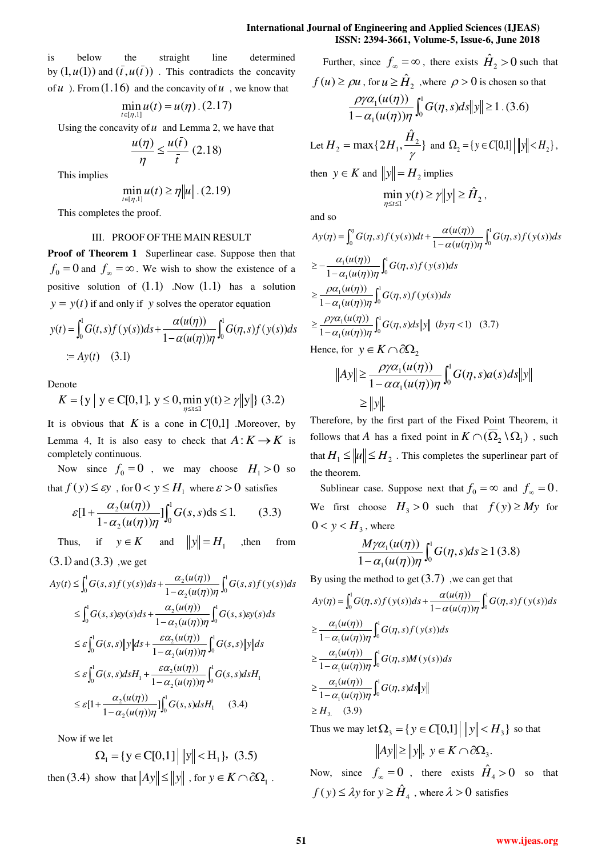is below the straight line determined by  $(1, u(1))$  and  $(\bar{t}, u(\bar{t}))$ . This contradicts the concavity of  $u$ ). From  $(1.16)$  and the concavity of  $u$ , we know that

$$
\min_{t \in [\eta,1]} u(t) = u(\eta) \, . \, (2.17)
$$

Using the concavity of  $u$  and Lemma 2, we have that

$$
\frac{u(\eta)}{\eta} \le \frac{u(\bar{t})}{\bar{t}} (2.18)
$$

This implies

$$
\min_{t \in [\eta,1]} u(t) \ge \eta \|u\| \, . \, (2.19)
$$

This completes the proof.

## III. PROOF OF THE MAIN RESULT

**Proof of Theorem 1** Superlinear case. Suppose then that  $f_0 = 0$  and  $f_\infty = \infty$ . We wish to show the existence of a positive solution of  $(1.1)$  .Now  $(1.1)$  has a solution  $y = y(t)$  if and only if *y* solves the operator equation

$$
y(t) = \int_0^1 G(t,s)f(y(s))ds + \frac{\alpha(u(\eta))}{1 - \alpha(u(\eta))\eta} \int_0^1 G(\eta,s)f(y(s))ds
$$
  
 :=  $Ay(t)$  (3.1)

Denote

$$
K = \{ y \mid y \in C[0,1], y \le 0, \min_{\eta \le t \le 1} y(t) \ge \gamma ||y|| \} (3.2)
$$

It is obvious that *K* is a cone in  $C[0,1]$  .Moreover, by Lemma 4, It is also easy to check that  $A: K \to K$  is completely continuous.

Now since  $f_0 = 0$ , we may choose  $H_1 > 0$  so that  $f(y) \le \varepsilon y$ , for  $0 < y \le H_1$  where  $\varepsilon > 0$  satisfies

$$
\varepsilon[1 + \frac{\alpha_2(u(\eta))}{1 - \alpha_2(u(\eta))\eta}] \int_0^1 G(s, s)ds \le 1.
$$
 (3.3)

Thus, if  $y \in K$  and  $||y|| = H_1$  , then from  $(3.1)$  and  $(3.3)$ , we get

$$
Ay(t) \leq \int_0^1 G(s, s) f(y(s)) ds + \frac{\alpha_2(u(\eta))}{1 - \alpha_2(u(\eta))\eta} \int_0^1 G(s, s) f(y(s)) ds
$$
  
\n
$$
\leq \int_0^1 G(s, s) \varepsilon y(s) ds + \frac{\alpha_2(u(\eta))}{1 - \alpha_2(u(\eta))\eta} \int_0^1 G(s, s) \varepsilon y(s) ds
$$
  
\n
$$
\leq \varepsilon \int_0^1 G(s, s) \|y\| ds + \frac{\varepsilon \alpha_2(u(\eta))}{1 - \alpha_2(u(\eta))\eta} \int_0^1 G(s, s) \|y\| ds
$$
  
\n
$$
\leq \varepsilon \int_0^1 G(s, s) ds H_1 + \frac{\varepsilon \alpha_2(u(\eta))}{1 - \alpha_2(u(\eta))\eta} \int_0^1 G(s, s) ds H_1
$$
  
\n
$$
\leq \varepsilon [1 + \frac{\alpha_2(u(\eta))}{1 - \alpha_2(u(\eta))\eta}] \int_0^1 G(s, s) ds H_1 \qquad (3.4)
$$

Now if we let

$$
\Omega_1 = \{ y \in C[0,1] \, \left| \, \|y\| < H_1 \right\}, \tag{3.5}
$$

then (3.4) show that  $||Ay|| \le ||y||$ , for  $y \in K \cap \partial \Omega_1$ .

Further, since 
$$
f_{\infty} = \infty
$$
, there exists  $\hat{H}_2 > 0$  such that  
\n $f(u) \ge \rho u$ , for  $u \ge \hat{H}_2$ , where  $\rho > 0$  is chosen so that  
\n
$$
\frac{\rho \gamma \alpha_1(u(\eta))}{1 - \alpha_1(u(\eta))\eta} \int_0^1 G(\eta, s) ds ||y|| \ge 1
$$
 (3.6)  
\nLet  $H_2 = \max\{2H_1, \frac{\hat{H}_2}{\gamma}\}\$  and  $\Omega_2 = \{y \in C[0,1] \mid ||y|| < H_2\}$ ,

then  $y \in K$  and  $||y|| = H_2$  implies

$$
\min_{\eta \le t \le 1} y(t) \ge \gamma \|y\| \ge \hat{H}_2,
$$

and so

$$
Ay(\eta) = \int_0^{\eta} G(\eta, s) f(y(s)) dt + \frac{\alpha(u(\eta))}{1 - \alpha(u(\eta))\eta} \int_0^1 G(\eta, s) f(y(s)) ds
$$
  
\n
$$
\geq -\frac{\alpha_1(u(\eta))}{1 - \alpha_1(u(\eta))\eta} \int_0^1 G(\eta, s) f(y(s)) ds
$$
  
\n
$$
\geq \frac{\rho \alpha_1(u(\eta))}{1 - \alpha_1(u(\eta))\eta} \int_0^1 G(\eta, s) f(y(s)) ds
$$
  
\n
$$
\geq \frac{\rho \gamma \alpha_1(u(\eta))}{1 - \alpha_1(u(\eta))\eta} \int_0^1 G(\eta, s) ds ||y|| (by \eta < 1) (3.7)
$$
  
\nHence for  $y \in K \cap \partial\Omega$ 

Hence, for  $y \in K \cap \partial \Omega_2$ 

$$
||Ay|| \ge \frac{\rho \gamma \alpha_1(u(\eta))}{1 - \alpha \alpha_1(u(\eta))\eta} \int_0^1 G(\eta, s) a(s) ds ||y||
$$
  
 
$$
\ge ||y||.
$$

Therefore, by the first part of the Fixed Point Theorem, it follows that *A* has a fixed point in  $K \cap (\overline{\Omega}_2 \setminus \Omega_1)$ , such that  $H_1 \le ||u|| \le H_2$ . This completes the superlinear part of the theorem.

Sublinear case. Suppose next that  $f_0 = \infty$  and  $f_{\infty} = 0$ . We first choose  $H_3 > 0$  such that  $f(y) \ge My$  for  $0 < y < H<sub>3</sub>$ , where

$$
\frac{M\gamma\alpha_1(u(\eta))}{1-\alpha_1(u(\eta))\eta} \int_0^1 G(\eta, s)ds \ge 1
$$
 (3.8)

By using the method to get  $(3.7)$ , we can get that

$$
Ay(\eta) = \int_0^1 G(\eta, s) f(y(s)) ds + \frac{\alpha(u(\eta))}{1 - \alpha(u(\eta))\eta} \int_0^1 G(\eta, s) f(y(s)) ds
$$
  
\n
$$
\geq \frac{\alpha_1(u(\eta))}{1 - \alpha_1(u(\eta))\eta} \int_0^1 G(\eta, s) f(y(s)) ds
$$
  
\n
$$
\geq \frac{\alpha_1(u(\eta))}{1 - \alpha_1(u(\eta))\eta} \int_0^1 G(\eta, s) M(y(s)) ds
$$
  
\n
$$
\geq \frac{\alpha_1(u(\eta))}{1 - \alpha_1(u(\eta))\eta} \int_0^1 G(\eta, s) ds ||y||
$$
  
\n
$$
\geq H_3
$$
 (3.9)

Thus we may let  $\Omega_3 = \{y \in C[0,1] \mid ||y|| < H_3 \}$  so that  $Ay \geq ||y||, y \in K \cap \partial \Omega_3.$ Now, since  $f_{\infty} = 0$ , there exists  $\hat{H}_4 > 0$  so that

 $f(y) \leq \lambda y$  for  $y \geq \hat{H}_4$ , where  $\lambda > 0$  satisfies